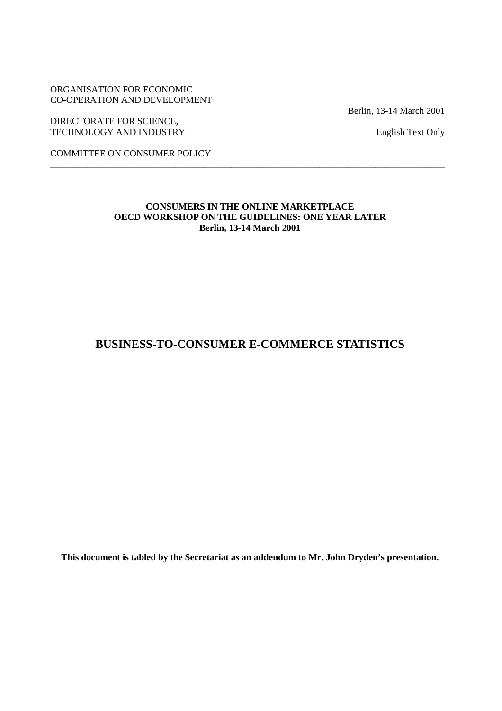ORGANISATION FOR ECONOMIC CO-OPERATION AND DEVELOPMENT

DIRECTORATE FOR SCIENCE, TECHNOLOGY AND INDUSTRY English Text Only

Berlin, 13-14 March 2001

COMMITTEE ON CONSUMER POLICY

### **CONSUMERS IN THE ONLINE MARKETPLACE OECD WORKSHOP ON THE GUIDELINES: ONE YEAR LATER Berlin, 13-14 March 2001**

\_\_\_\_\_\_\_\_\_\_\_\_\_\_\_\_\_\_\_\_\_\_\_\_\_\_\_\_\_\_\_\_\_\_\_\_\_\_\_\_\_\_\_\_\_\_\_\_\_\_\_\_\_\_\_\_\_\_\_\_\_\_\_\_\_\_\_\_\_\_\_\_\_\_\_\_\_\_\_\_\_\_\_\_\_

# **BUSINESS-TO-CONSUMER E-COMMERCE STATISTICS**

**This document is tabled by the Secretariat as an addendum to Mr. John Dryden's presentation.**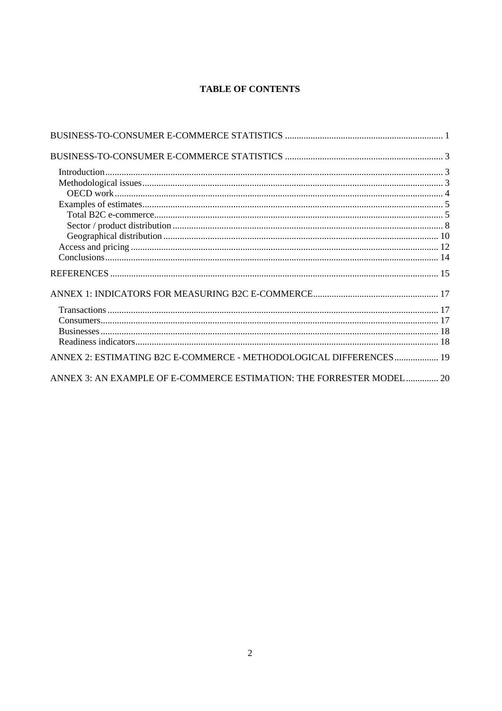# **TABLE OF CONTENTS**

| ANNEX 2: ESTIMATING B2C E-COMMERCE - METHODOLOGICAL DIFFERENCES 19   |  |
|----------------------------------------------------------------------|--|
| ANNEX 3: AN EXAMPLE OF E-COMMERCE ESTIMATION: THE FORRESTER MODEL 20 |  |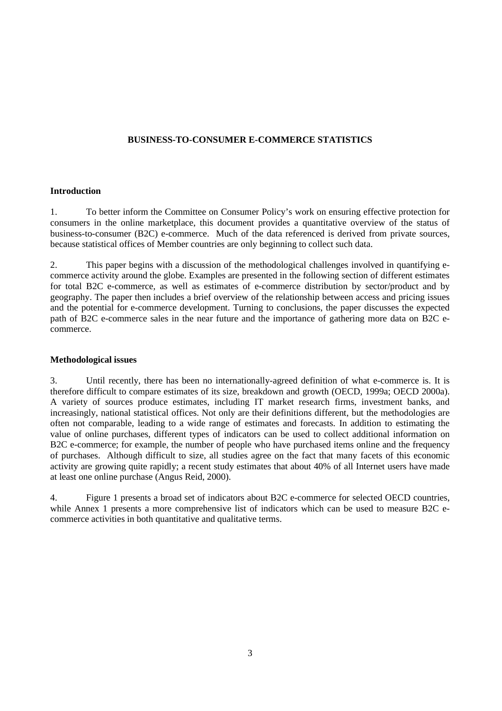### **BUSINESS-TO-CONSUMER E-COMMERCE STATISTICS**

### **Introduction**

1. To better inform the Committee on Consumer Policy's work on ensuring effective protection for consumers in the online marketplace, this document provides a quantitative overview of the status of business-to-consumer (B2C) e-commerce. Much of the data referenced is derived from private sources, because statistical offices of Member countries are only beginning to collect such data.

2. This paper begins with a discussion of the methodological challenges involved in quantifying ecommerce activity around the globe. Examples are presented in the following section of different estimates for total B2C e-commerce, as well as estimates of e-commerce distribution by sector/product and by geography. The paper then includes a brief overview of the relationship between access and pricing issues and the potential for e-commerce development. Turning to conclusions, the paper discusses the expected path of B2C e-commerce sales in the near future and the importance of gathering more data on B2C ecommerce.

### **Methodological issues**

3. Until recently, there has been no internationally-agreed definition of what e-commerce is. It is therefore difficult to compare estimates of its size, breakdown and growth (OECD, 1999a; OECD 2000a). A variety of sources produce estimates, including IT market research firms, investment banks, and increasingly, national statistical offices. Not only are their definitions different, but the methodologies are often not comparable, leading to a wide range of estimates and forecasts. In addition to estimating the value of online purchases, different types of indicators can be used to collect additional information on B2C e-commerce; for example, the number of people who have purchased items online and the frequency of purchases. Although difficult to size, all studies agree on the fact that many facets of this economic activity are growing quite rapidly; a recent study estimates that about 40% of all Internet users have made at least one online purchase (Angus Reid, 2000).

4. Figure 1 presents a broad set of indicators about B2C e-commerce for selected OECD countries, while Annex 1 presents a more comprehensive list of indicators which can be used to measure B2C ecommerce activities in both quantitative and qualitative terms.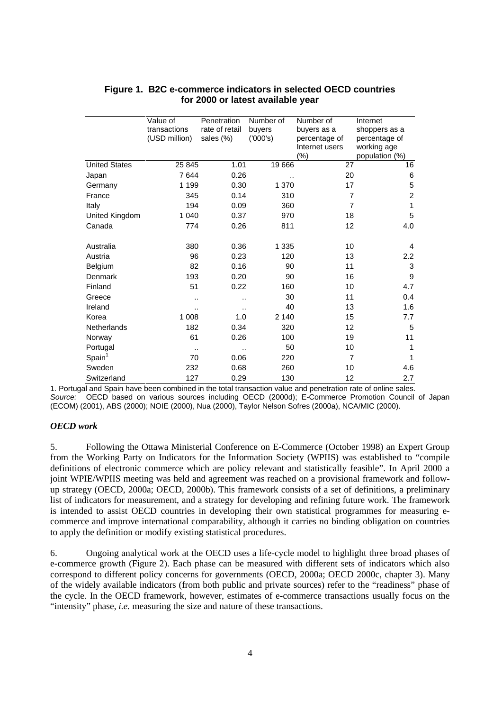|                      | Value of<br>transactions<br>(USD million) | Penetration<br>rate of retail<br>sales (%) | Number of<br>buyers<br>(7000's) | Number of<br>buyers as a<br>percentage of | Internet<br>shoppers as a<br>percentage of |
|----------------------|-------------------------------------------|--------------------------------------------|---------------------------------|-------------------------------------------|--------------------------------------------|
|                      |                                           |                                            |                                 | Internet users<br>$(\%)$                  | working age<br>population (%)              |
| <b>United States</b> | 25 845                                    | 1.01                                       | 19 666                          | 27                                        | 16                                         |
| Japan                | 7644                                      | 0.26                                       |                                 | 20                                        | 6                                          |
| Germany              | 1 1 9 9                                   | 0.30                                       | 1 370                           | 17                                        | 5                                          |
| France               | 345                                       | 0.14                                       | 310                             | 7                                         | $\overline{c}$                             |
| Italy                | 194                                       | 0.09                                       | 360                             | $\overline{7}$                            | 1                                          |
| United Kingdom       | 1 0 4 0                                   | 0.37                                       | 970                             | 18                                        | 5                                          |
| Canada               | 774                                       | 0.26                                       | 811                             | 12                                        | 4.0                                        |
| Australia            | 380                                       | 0.36                                       | 1 3 3 5                         | 10                                        | 4                                          |
| Austria              | 96                                        | 0.23                                       | 120                             | 13                                        | $2.2\phantom{0}$                           |
| Belgium              | 82                                        | 0.16                                       | 90                              | 11                                        | 3                                          |
| Denmark              | 193                                       | 0.20                                       | 90                              | 16                                        | 9                                          |
| Finland              | 51                                        | 0.22                                       | 160                             | 10                                        | 4.7                                        |
| Greece               |                                           |                                            | 30                              | 11                                        | 0.4                                        |
| Ireland              | ٠.                                        |                                            | 40                              | 13                                        | 1.6                                        |
| Korea                | 1 0 0 8                                   | 1.0                                        | 2 140                           | 15                                        | 7.7                                        |
| <b>Netherlands</b>   | 182                                       | 0.34                                       | 320                             | 12                                        | 5                                          |
| Norway               | 61                                        | 0.26                                       | 100                             | 19                                        | 11                                         |
| Portugal             |                                           |                                            | 50                              | 10                                        | 1                                          |
| Spin <sup>1</sup>    | 70                                        | 0.06                                       | 220                             | $\overline{7}$                            | 1                                          |
| Sweden               | 232                                       | 0.68                                       | 260                             | 10                                        | 4.6                                        |
| Switzerland          | 127                                       | 0.29                                       | 130                             | 12                                        | 2.7                                        |

### **Figure 1. B2C e-commerce indicators in selected OECD countries for 2000 or latest available year**

1. Portugal and Spain have been combined in the total transaction value and penetration rate of online sales. Source: OECD based on various sources including OECD (2000d); E-Commerce Promotion Council of Japan (ECOM) (2001), ABS (2000); NOIE (2000), Nua (2000), Taylor Nelson Sofres (2000a), NCA/MIC (2000).

#### *OECD work*

5. Following the Ottawa Ministerial Conference on E-Commerce (October 1998) an Expert Group from the Working Party on Indicators for the Information Society (WPIIS) was established to "compile definitions of electronic commerce which are policy relevant and statistically feasible". In April 2000 a joint WPIE/WPIIS meeting was held and agreement was reached on a provisional framework and followup strategy (OECD, 2000a; OECD, 2000b). This framework consists of a set of definitions, a preliminary list of indicators for measurement, and a strategy for developing and refining future work. The framework is intended to assist OECD countries in developing their own statistical programmes for measuring ecommerce and improve international comparability, although it carries no binding obligation on countries to apply the definition or modify existing statistical procedures.

6. Ongoing analytical work at the OECD uses a life-cycle model to highlight three broad phases of e-commerce growth (Figure 2). Each phase can be measured with different sets of indicators which also correspond to different policy concerns for governments (OECD, 2000a; OECD 2000c, chapter 3). Many of the widely available indicators (from both public and private sources) refer to the "readiness" phase of the cycle. In the OECD framework, however, estimates of e-commerce transactions usually focus on the "intensity" phase, *i.e.* measuring the size and nature of these transactions.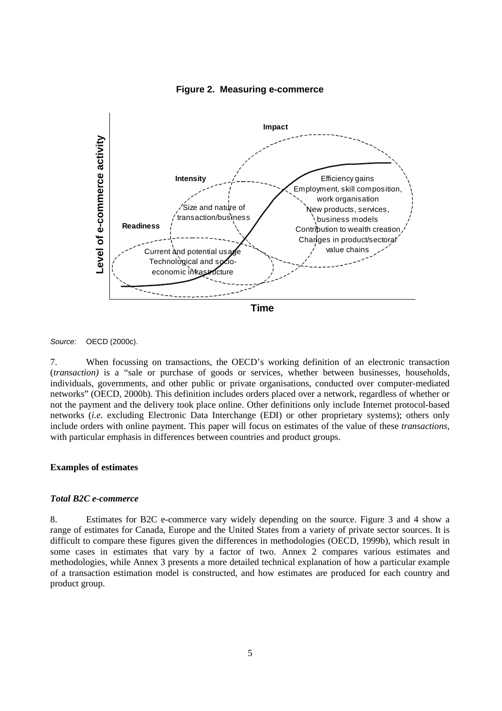

**Figure 2. Measuring e-commerce**

Source: OECD (2000c).

7. When focussing on transactions, the OECD's working definition of an electronic transaction (*transaction)* is a "sale or purchase of goods or services, whether between businesses, households, individuals, governments, and other public or private organisations, conducted over computer-mediated networks" (OECD, 2000b). This definition includes orders placed over a network, regardless of whether or not the payment and the delivery took place online. Other definitions only include Internet protocol-based networks (*i.e.* excluding Electronic Data Interchange (EDI) or other proprietary systems); others only include orders with online payment. This paper will focus on estimates of the value of these *transactions,* with particular emphasis in differences between countries and product groups.

#### **Examples of estimates**

#### *Total B2C e-commerce*

8. Estimates for B2C e-commerce vary widely depending on the source. Figure 3 and 4 show a range of estimates for Canada, Europe and the United States from a variety of private sector sources. It is difficult to compare these figures given the differences in methodologies (OECD, 1999b), which result in some cases in estimates that vary by a factor of two. Annex 2 compares various estimates and methodologies, while Annex 3 presents a more detailed technical explanation of how a particular example of a transaction estimation model is constructed, and how estimates are produced for each country and product group.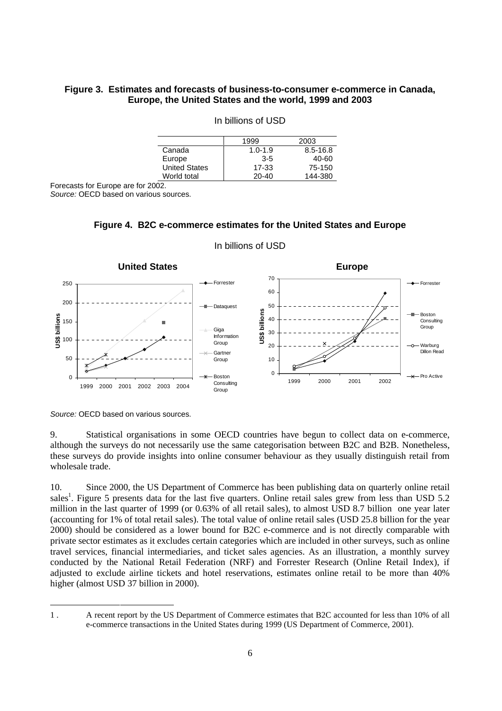### **Figure 3. Estimates and forecasts of business-to-consumer e-commerce in Canada, Europe, the United States and the world, 1999 and 2003**

|                      | 1999        | 2003     |
|----------------------|-------------|----------|
| Canada               | $1.0 - 1.9$ | 8.5-16.8 |
| Europe               | $3 - 5$     | 40-60    |
| <b>United States</b> | 17-33       | 75-150   |
| World total          | $20 - 40$   | 144-380  |

### In billions of USD

Forecasts for Europe are for 2002.

Source: OECD based on various sources.



#### In billions of USD

**Figure 4. B2C e-commerce estimates for the United States and Europe**

Source: OECD based on various sources.

-

9. Statistical organisations in some OECD countries have begun to collect data on e-commerce, although the surveys do not necessarily use the same categorisation between B2C and B2B. Nonetheless, these surveys do provide insights into online consumer behaviour as they usually distinguish retail from wholesale trade.

10. Since 2000, the US Department of Commerce has been publishing data on quarterly online retail sales<sup>1</sup>. Figure 5 presents data for the last five quarters. Online retail sales grew from less than USD 5.2 million in the last quarter of 1999 (or 0.63% of all retail sales), to almost USD 8.7 billion one year later (accounting for 1% of total retail sales). The total value of online retail sales (USD 25.8 billion for the year 2000) should be considered as a lower bound for B2C e-commerce and is not directly comparable with private sector estimates as it excludes certain categories which are included in other surveys, such as online travel services, financial intermediaries, and ticket sales agencies. As an illustration, a monthly survey conducted by the National Retail Federation (NRF) and Forrester Research (Online Retail Index), if adjusted to exclude airline tickets and hotel reservations, estimates online retail to be more than 40% higher (almost USD 37 billion in 2000).

<sup>1 .</sup> A recent report by the US Department of Commerce estimates that B2C accounted for less than 10% of all e-commerce transactions in the United States during 1999 (US Department of Commerce, 2001).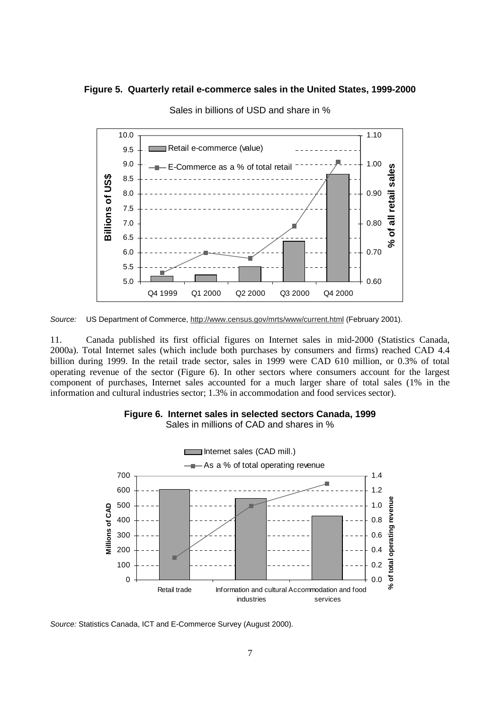### **Figure 5. Quarterly retail e-commerce sales in the United States, 1999-2000**



Sales in billions of USD and share in %

Source: US Department of Commerce, http://www.census.gov/mrts/www/current.html (February 2001).

11. Canada published its first official figures on Internet sales in mid-2000 (Statistics Canada, 2000a). Total Internet sales (which include both purchases by consumers and firms) reached CAD 4.4 billion during 1999. In the retail trade sector, sales in 1999 were CAD 610 million, or 0.3% of total operating revenue of the sector (Figure 6). In other sectors where consumers account for the largest component of purchases, Internet sales accounted for a much larger share of total sales (1% in the information and cultural industries sector; 1.3% in accommodation and food services sector).



**Figure 6. Internet sales in selected sectors Canada, 1999**

Sales in millions of CAD and shares in %

Source: Statistics Canada, ICT and E-Commerce Survey (August 2000).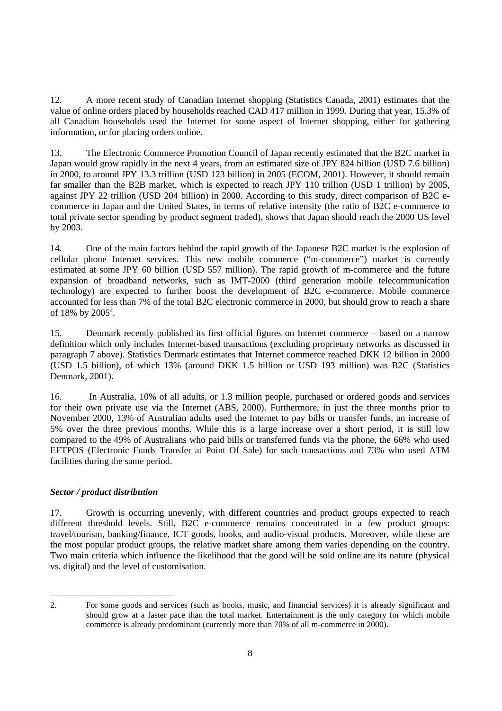12. A more recent study of Canadian Internet shopping (Statistics Canada, 2001) estimates that the value of online orders placed by households reached CAD 417 million in 1999. During that year, 15.3% of all Canadian households used the Internet for some aspect of Internet shopping, either for gathering information, or for placing orders online.

13. The Electronic Commerce Promotion Council of Japan recently estimated that the B2C market in Japan would grow rapidly in the next 4 years, from an estimated size of JPY 824 billion (USD 7.6 billion) in 2000, to around JPY 13.3 trillion (USD 123 billion) in 2005 (ECOM, 2001). However, it should remain far smaller than the B2B market, which is expected to reach JPY 110 trillion (USD 1 trillion) by 2005, against JPY 22 trillion (USD 204 billion) in 2000. According to this study, direct comparison of B2C ecommerce in Japan and the United States, in terms of relative intensity (the ratio of B2C e-commerce to total private sector spending by product segment traded), shows that Japan should reach the 2000 US level by 2003.

14. One of the main factors behind the rapid growth of the Japanese B2C market is the explosion of cellular phone Internet services. This new mobile commerce ("m-commerce") market is currently estimated at some JPY 60 billion (USD 557 million). The rapid growth of m-commerce and the future expansion of broadband networks, such as IMT-2000 (third generation mobile telecommunication technology) are expected to further boost the development of B2C e-commerce. Mobile commerce accounted for less than 7% of the total B2C electronic commerce in 2000, but should grow to reach a share of 18% by  $2005^2$ .

15. Denmark recently published its first official figures on Internet commerce – based on a narrow definition which only includes Internet-based transactions (excluding proprietary networks as discussed in paragraph 7 above). Statistics Denmark estimates that Internet commerce reached DKK 12 billion in 2000 (USD 1.5 billion), of which 13% (around DKK 1.5 billion or USD 193 million) was B2C (Statistics Denmark, 2001).

16. In Australia, 10% of all adults, or 1.3 million people, purchased or ordered goods and services for their own private use via the Internet (ABS, 2000). Furthermore, in just the three months prior to November 2000, 13% of Australian adults used the Internet to pay bills or transfer funds, an increase of 5% over the three previous months. While this is a large increase over a short period, it is still low compared to the 49% of Australians who paid bills or transferred funds via the phone, the 66% who used EFTPOS (Electronic Funds Transfer at Point Of Sale) for such transactions and 73% who used ATM facilities during the same period.

### *Sector / product distribution*

17. Growth is occurring unevenly, with different countries and product groups expected to reach different threshold levels. Still, B2C e-commerce remains concentrated in a few product groups: travel/tourism, banking/finance, ICT goods, books, and audio-visual products. Moreover, while these are the most popular product groups, the relative market share among them varies depending on the country. Two main criteria which influence the likelihood that the good will be sold online are its nature (physical vs. digital) and the level of customisation.

<sup>-</sup>2. For some goods and services (such as books, music, and financial services) it is already significant and should grow at a faster pace than the total market. Entertainment is the only category for which mobile commerce is already predominant (currently more than 70% of all m-commerce in 2000).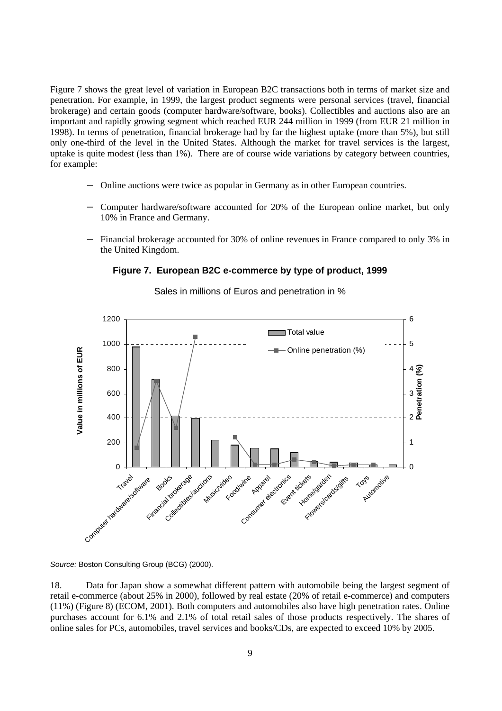Figure 7 shows the great level of variation in European B2C transactions both in terms of market size and penetration. For example, in 1999, the largest product segments were personal services (travel, financial brokerage) and certain goods (computer hardware/software, books). Collectibles and auctions also are an important and rapidly growing segment which reached EUR 244 million in 1999 (from EUR 21 million in 1998). In terms of penetration, financial brokerage had by far the highest uptake (more than 5%), but still only one-third of the level in the United States. Although the market for travel services is the largest, uptake is quite modest (less than 1%). There are of course wide variations by category between countries, for example:

- − Online auctions were twice as popular in Germany as in other European countries.
- − Computer hardware/software accounted for 20% of the European online market, but only 10% in France and Germany.
- Financial brokerage accounted for 30% of online revenues in France compared to only 3% in the United Kingdom.

### **Figure 7. European B2C e-commerce by type of product, 1999**



Sales in millions of Euros and penetration in %

Source: Boston Consulting Group (BCG) (2000).

18. Data for Japan show a somewhat different pattern with automobile being the largest segment of retail e-commerce (about 25% in 2000), followed by real estate (20% of retail e-commerce) and computers (11%) (Figure 8) (ECOM, 2001). Both computers and automobiles also have high penetration rates. Online purchases account for 6.1% and 2.1% of total retail sales of those products respectively. The shares of online sales for PCs, automobiles, travel services and books/CDs, are expected to exceed 10% by 2005.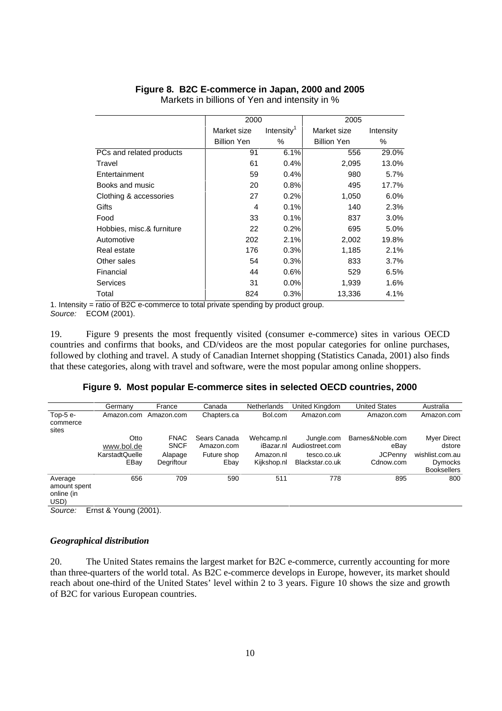# **Figure 8. B2C E-commerce in Japan, 2000 and 2005**

|                           | 2000               |                        | 2005               |           |
|---------------------------|--------------------|------------------------|--------------------|-----------|
|                           | Market size        | Intensity <sup>1</sup> | Market size        | Intensity |
|                           | <b>Billion Yen</b> | %                      | <b>Billion Yen</b> | %         |
| PCs and related products  | 91                 | 6.1%                   | 556                | 29.0%     |
| Travel                    | 61                 | 0.4%                   | 2,095              | 13.0%     |
| Entertainment             | 59                 | 0.4%                   | 980                | 5.7%      |
| Books and music           | 20                 | 0.8%                   | 495                | 17.7%     |
| Clothing & accessories    | 27                 | 0.2%                   | 1,050              | $6.0\%$   |
| Gifts                     | 4                  | 0.1%                   | 140                | 2.3%      |
| Food                      | 33                 | 0.1%                   | 837                | $3.0\%$   |
| Hobbies, misc.& furniture | 22                 | 0.2%                   | 695                | $5.0\%$   |
| Automotive                | 202                | 2.1%                   | 2,002              | 19.8%     |
| Real estate               | 176                | 0.3%                   | 1,185              | 2.1%      |
| Other sales               | 54                 | 0.3%                   | 833                | $3.7\%$   |
| Financial                 | 44                 | 0.6%                   | 529                | $6.5\%$   |
| Services                  | 31                 | $0.0\%$                | 1,939              | 1.6%      |
| Total                     | 824                | 0.3%                   | 13,336             | 4.1%      |

Markets in billions of Yen and intensity in %

1. Intensity = ratio of B2C e-commerce to total private spending by product group. Source: ECOM (2001).

19. Figure 9 presents the most frequently visited (consumer e-commerce) sites in various OECD countries and confirms that books, and CD/videos are the most popular categories for online purchases, followed by clothing and travel. A study of Canadian Internet shopping (Statistics Canada, 2001) also finds that these categories, along with travel and software, were the most popular among online shoppers.

### **Figure 9. Most popular E-commerce sites in selected OECD countries, 2000**

|                                                                       | Germany                                      | France                                              | Canada                                            | <b>Netherlands</b>                     | United Kingdom                                                            | <b>United States</b>                                    | Australia                                                                        |
|-----------------------------------------------------------------------|----------------------------------------------|-----------------------------------------------------|---------------------------------------------------|----------------------------------------|---------------------------------------------------------------------------|---------------------------------------------------------|----------------------------------------------------------------------------------|
| Top- $5e$ -<br>commerce<br>sites                                      | Amazon.com                                   | Amazon.com                                          | Chapters.ca                                       | Bol.com                                | Amazon.com                                                                | Amazon.com                                              | Amazon.com                                                                       |
|                                                                       | Otto<br>www.bol.de<br>KarstadtQuelle<br>EBay | <b>FNAC</b><br><b>SNCF</b><br>Alapage<br>Degriftour | Sears Canada<br>Amazon.com<br>Future shop<br>Ebav | Wehcamp.nl<br>Amazon.nl<br>Kijkshop.nl | Jungle.com<br>iBazar.nl Audiostreet.com<br>tesco.co.uk<br>Blackstar.co.uk | Barnes&Noble.com<br>eBay<br><b>JCPenny</b><br>Cdnow.com | Myer Direct<br>dstore<br>wishlist.com.au<br><b>Dymocks</b><br><b>Booksellers</b> |
| Average<br>amount spent<br>online (in<br>USD)<br>$\sim$ $\sim$ $\sim$ | 656<br>$\Gamma$ $\Omega$ $\Omega$ $\Omega$   | 709                                                 | 590                                               | 511                                    | 778                                                                       | 895                                                     | 800                                                                              |

Source: Ernst & Young (2001).

### *Geographical distribution*

20. The United States remains the largest market for B2C e-commerce, currently accounting for more than three-quarters of the world total. As B2C e-commerce develops in Europe, however, its market should reach about one-third of the United States' level within 2 to 3 years. Figure 10 shows the size and growth of B2C for various European countries.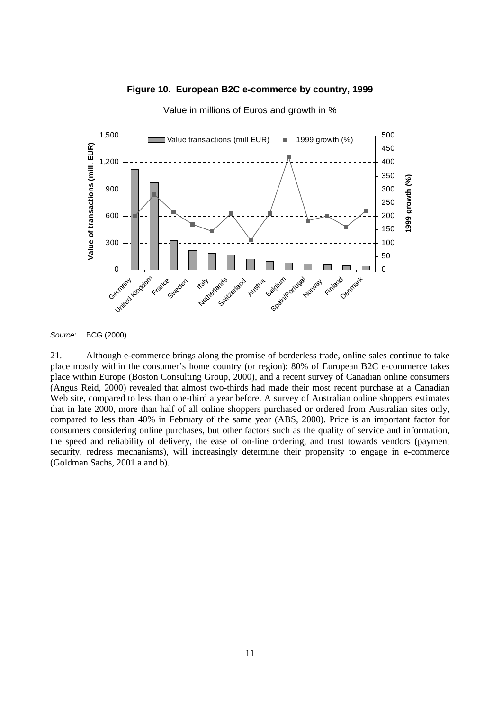



Value in millions of Euros and growth in %

Source: BCG (2000).

21. Although e-commerce brings along the promise of borderless trade, online sales continue to take place mostly within the consumer's home country (or region): 80% of European B2C e-commerce takes place within Europe (Boston Consulting Group, 2000), and a recent survey of Canadian online consumers (Angus Reid, 2000) revealed that almost two-thirds had made their most recent purchase at a Canadian Web site, compared to less than one-third a year before. A survey of Australian online shoppers estimates that in late 2000, more than half of all online shoppers purchased or ordered from Australian sites only, compared to less than 40% in February of the same year (ABS, 2000). Price is an important factor for consumers considering online purchases, but other factors such as the quality of service and information, the speed and reliability of delivery, the ease of on-line ordering, and trust towards vendors (payment security, redress mechanisms), will increasingly determine their propensity to engage in e-commerce (Goldman Sachs, 2001 a and b).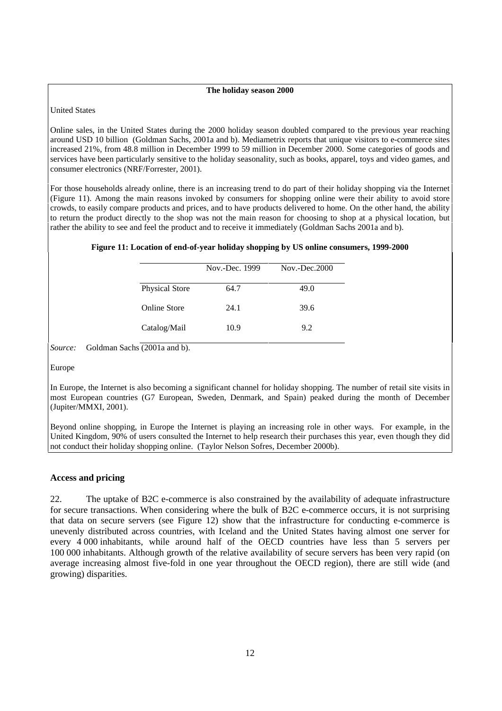#### **The holiday season 2000**

United States

Online sales, in the United States during the 2000 holiday season doubled compared to the previous year reaching around USD 10 billion (Goldman Sachs, 2001a and b). Mediametrix reports that unique visitors to e-commerce sites increased 21%, from 48.8 million in December 1999 to 59 million in December 2000. Some categories of goods and services have been particularly sensitive to the holiday seasonality, such as books, apparel, toys and video games, and consumer electronics (NRF/Forrester, 2001).

For those households already online, there is an increasing trend to do part of their holiday shopping via the Internet (Figure 11). Among the main reasons invoked by consumers for shopping online were their ability to avoid store crowds, to easily compare products and prices, and to have products delivered to home. On the other hand, the ability to return the product directly to the shop was not the main reason for choosing to shop at a physical location, but rather the ability to see and feel the product and to receive it immediately (Goldman Sachs 2001a and b).

|  |  |  | Figure 11: Location of end-of-year holiday shopping by US online consumers, 1999-2000 |
|--|--|--|---------------------------------------------------------------------------------------|
|--|--|--|---------------------------------------------------------------------------------------|

|                       | Nov.-Dec. 1999 | $Nov.-Dec.2000$ |
|-----------------------|----------------|-----------------|
| <b>Physical Store</b> | 64.7           | 49.0            |
| <b>Online Store</b>   | 24.1           | 39.6            |
| Catalog/Mail          | 10.9           | 9.2             |
| .                     |                |                 |

*Source:* Goldman Sachs (2001a and b).

Europe

In Europe, the Internet is also becoming a significant channel for holiday shopping. The number of retail site visits in most European countries (G7 European, Sweden, Denmark, and Spain) peaked during the month of December (Jupiter/MMXI, 2001).

Beyond online shopping, in Europe the Internet is playing an increasing role in other ways. For example, in the United Kingdom, 90% of users consulted the Internet to help research their purchases this year, even though they did not conduct their holiday shopping online. (Taylor Nelson Sofres, December 2000b).

#### **Access and pricing**

22. The uptake of B2C e-commerce is also constrained by the availability of adequate infrastructure for secure transactions. When considering where the bulk of B2C e-commerce occurs, it is not surprising that data on secure servers (see Figure 12) show that the infrastructure for conducting e-commerce is unevenly distributed across countries, with Iceland and the United States having almost one server for every 4 000 inhabitants, while around half of the OECD countries have less than 5 servers per 100 000 inhabitants. Although growth of the relative availability of secure servers has been very rapid (on average increasing almost five-fold in one year throughout the OECD region), there are still wide (and growing) disparities.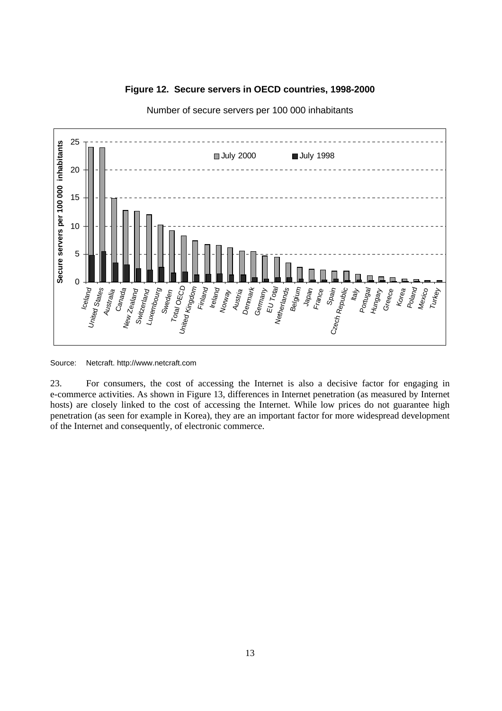



Number of secure servers per 100 000 inhabitants

Source: Netcraft. http://www.netcraft.com

23. For consumers, the cost of accessing the Internet is also a decisive factor for engaging in e-commerce activities. As shown in Figure 13, differences in Internet penetration (as measured by Internet hosts) are closely linked to the cost of accessing the Internet. While low prices do not guarantee high penetration (as seen for example in Korea), they are an important factor for more widespread development of the Internet and consequently, of electronic commerce.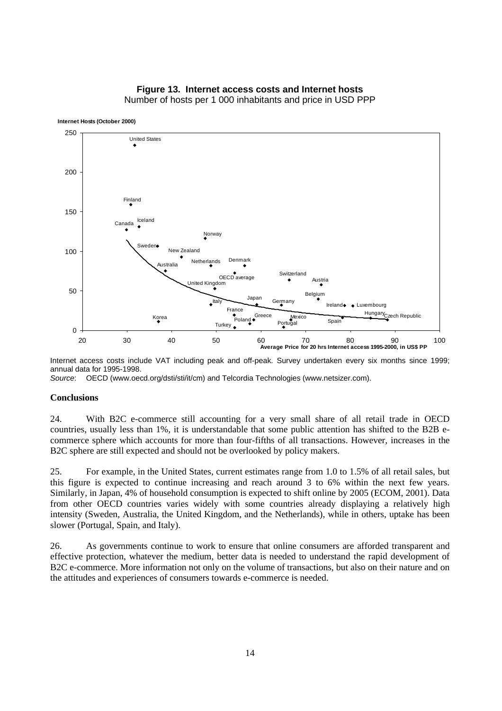#### **Figure 13. Internet access costs and Internet hosts**



Number of hosts per 1 000 inhabitants and price in USD PPP

Internet access costs include VAT including peak and off-peak. Survey undertaken every six months since 1999; annual data for 1995-1998.

Source: OECD (www.oecd.org/dsti/sti/it/cm) and Telcordia Technologies (www.netsizer.com).

#### **Conclusions**

24. With B2C e-commerce still accounting for a very small share of all retail trade in OECD countries, usually less than 1%, it is understandable that some public attention has shifted to the B2B ecommerce sphere which accounts for more than four-fifths of all transactions. However, increases in the B2C sphere are still expected and should not be overlooked by policy makers.

25. For example, in the United States, current estimates range from 1.0 to 1.5% of all retail sales, but this figure is expected to continue increasing and reach around 3 to 6% within the next few years. Similarly, in Japan, 4% of household consumption is expected to shift online by 2005 (ECOM, 2001). Data from other OECD countries varies widely with some countries already displaying a relatively high intensity (Sweden, Australia, the United Kingdom, and the Netherlands), while in others, uptake has been slower (Portugal, Spain, and Italy).

26. As governments continue to work to ensure that online consumers are afforded transparent and effective protection, whatever the medium, better data is needed to understand the rapid development of B2C e-commerce. More information not only on the volume of transactions, but also on their nature and on the attitudes and experiences of consumers towards e-commerce is needed.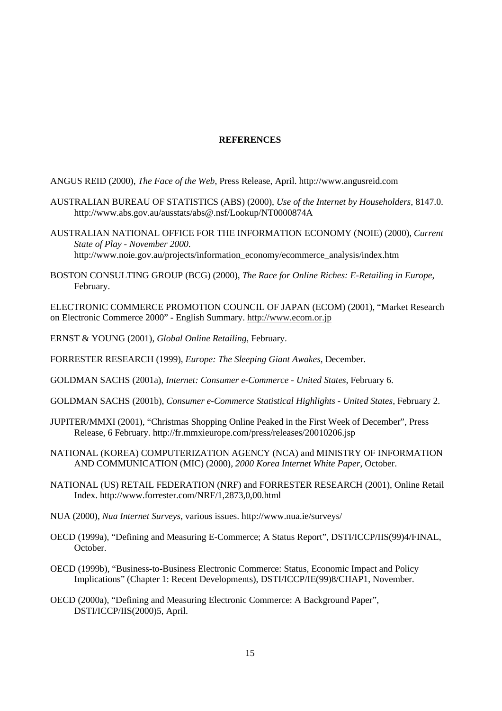### **REFERENCES**

ANGUS REID (2000), *The Face of the Web*, Press Release, April. http://www.angusreid.com

- AUSTRALIAN BUREAU OF STATISTICS (ABS) (2000), *Use of the Internet by Householders*, 8147.0. http://www.abs.gov.au/ausstats/abs@.nsf/Lookup/NT0000874A
- AUSTRALIAN NATIONAL OFFICE FOR THE INFORMATION ECONOMY (NOIE) (2000), *Current State of Play - November 2000*. http://www.noie.gov.au/projects/information\_economy/ecommerce\_analysis/index.htm
- BOSTON CONSULTING GROUP (BCG) (2000), *The Race for Online Riches: E-Retailing in Europe*, February.

ELECTRONIC COMMERCE PROMOTION COUNCIL OF JAPAN (ECOM) (2001), "Market Research on Electronic Commerce 2000" - English Summary. http://www.ecom.or.jp

- ERNST & YOUNG (2001), *Global Online Retailing*, February.
- FORRESTER RESEARCH (1999), *Europe: The Sleeping Giant Awakes*, December.
- GOLDMAN SACHS (2001a), *Internet: Consumer e-Commerce United States*, February 6.
- GOLDMAN SACHS (2001b), *Consumer e-Commerce Statistical Highlights United States*, February 2.
- JUPITER/MMXI (2001), "Christmas Shopping Online Peaked in the First Week of December", Press Release, 6 February. http://fr.mmxieurope.com/press/releases/20010206.jsp
- NATIONAL (KOREA) COMPUTERIZATION AGENCY (NCA) and MINISTRY OF INFORMATION AND COMMUNICATION (MIC) (2000), *2000 Korea Internet White Paper*, October.
- NATIONAL (US) RETAIL FEDERATION (NRF) and FORRESTER RESEARCH (2001), Online Retail Index. http://www.forrester.com/NRF/1,2873,0,00.html
- NUA (2000), *Nua Internet Surveys*, various issues. http://www.nua.ie/surveys/
- OECD (1999a), "Defining and Measuring E-Commerce; A Status Report", DSTI/ICCP/IIS(99)4/FINAL, October.
- OECD (1999b), "Business-to-Business Electronic Commerce: Status, Economic Impact and Policy Implications" (Chapter 1: Recent Developments), DSTI/ICCP/IE(99)8/CHAP1, November.
- OECD (2000a), "Defining and Measuring Electronic Commerce: A Background Paper", DSTI/ICCP/IIS(2000)5, April.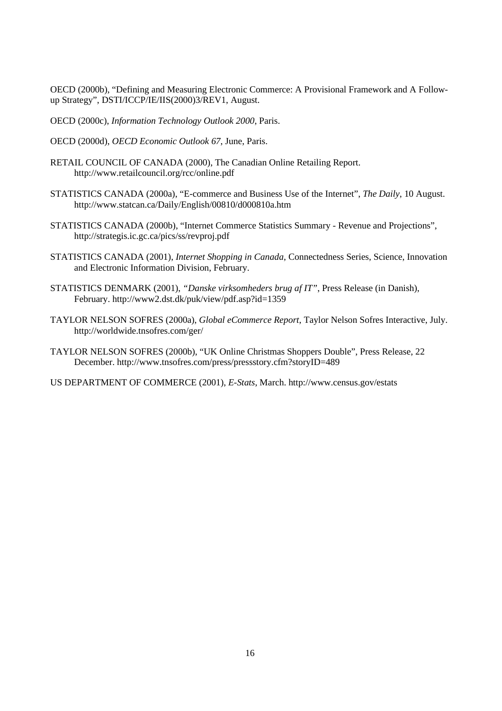OECD (2000b), "Defining and Measuring Electronic Commerce: A Provisional Framework and A Followup Strategy", DSTI/ICCP/IE/IIS(2000)3/REV1, August.

OECD (2000c), *Information Technology Outlook 2000*, Paris.

OECD (2000d), *OECD Economic Outlook 67*, June, Paris.

- RETAIL COUNCIL OF CANADA (2000), The Canadian Online Retailing Report. http://www.retailcouncil.org/rcc/online.pdf
- STATISTICS CANADA (2000a), "E-commerce and Business Use of the Internet", *The Daily*, 10 August. http://www.statcan.ca/Daily/English/00810/d000810a.htm
- STATISTICS CANADA (2000b), "Internet Commerce Statistics Summary Revenue and Projections", http://strategis.ic.gc.ca/pics/ss/revproj.pdf
- STATISTICS CANADA (2001), *Internet Shopping in Canada*, Connectedness Series, Science, Innovation and Electronic Information Division, February.
- STATISTICS DENMARK (2001), *"Danske virksomheders brug af IT"*, Press Release (in Danish), February. http://www2.dst.dk/puk/view/pdf.asp?id=1359
- TAYLOR NELSON SOFRES (2000a), *Global eCommerce Report*, Taylor Nelson Sofres Interactive, July. http://worldwide.tnsofres.com/ger/
- TAYLOR NELSON SOFRES (2000b), "UK Online Christmas Shoppers Double", Press Release, 22 December. http://www.tnsofres.com/press/pressstory.cfm?storyID=489

US DEPARTMENT OF COMMERCE (2001), *E-Stats*, March. http://www.census.gov/estats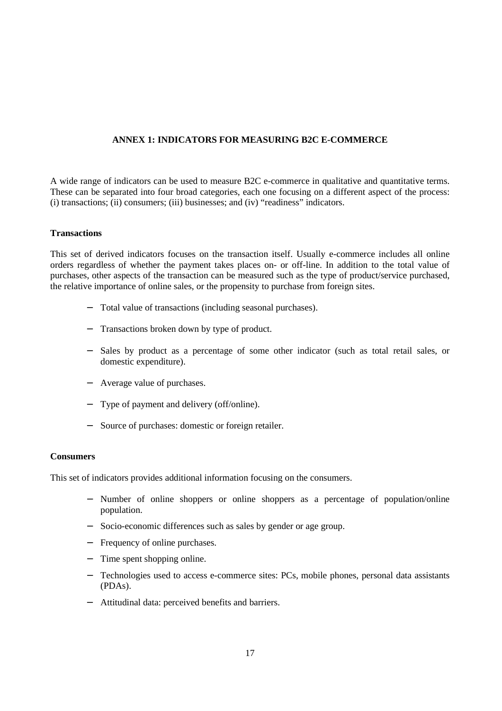### **ANNEX 1: INDICATORS FOR MEASURING B2C E-COMMERCE**

A wide range of indicators can be used to measure B2C e-commerce in qualitative and quantitative terms. These can be separated into four broad categories, each one focusing on a different aspect of the process: (i) transactions; (ii) consumers; (iii) businesses; and (iv) "readiness" indicators.

### **Transactions**

This set of derived indicators focuses on the transaction itself. Usually e-commerce includes all online orders regardless of whether the payment takes places on- or off-line. In addition to the total value of purchases, other aspects of the transaction can be measured such as the type of product/service purchased, the relative importance of online sales, or the propensity to purchase from foreign sites.

- − Total value of transactions (including seasonal purchases).
- − Transactions broken down by type of product.
- − Sales by product as a percentage of some other indicator (such as total retail sales, or domestic expenditure).
- − Average value of purchases.
- − Type of payment and delivery (off/online).
- − Source of purchases: domestic or foreign retailer.

### **Consumers**

This set of indicators provides additional information focusing on the consumers.

- − Number of online shoppers or online shoppers as a percentage of population/online population.
- − Socio-economic differences such as sales by gender or age group.
- − Frequency of online purchases.
- − Time spent shopping online.
- − Technologies used to access e-commerce sites: PCs, mobile phones, personal data assistants (PDAs).
- − Attitudinal data: perceived benefits and barriers.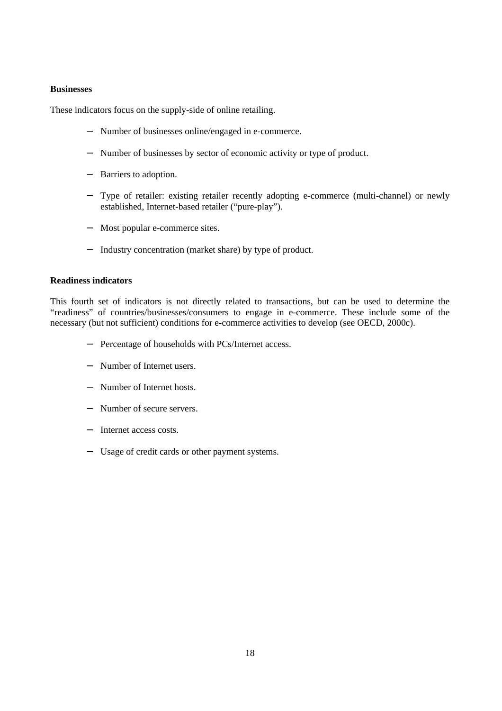### **Businesses**

These indicators focus on the supply-side of online retailing.

- − Number of businesses online/engaged in e-commerce.
- − Number of businesses by sector of economic activity or type of product.
- − Barriers to adoption.
- − Type of retailer: existing retailer recently adopting e-commerce (multi-channel) or newly established, Internet-based retailer ("pure-play").
- − Most popular e-commerce sites.
- − Industry concentration (market share) by type of product.

### **Readiness indicators**

This fourth set of indicators is not directly related to transactions, but can be used to determine the "readiness" of countries/businesses/consumers to engage in e-commerce. These include some of the necessary (but not sufficient) conditions for e-commerce activities to develop (see OECD, 2000c).

- − Percentage of households with PCs/Internet access.
- − Number of Internet users.
- − Number of Internet hosts.
- − Number of secure servers.
- Internet access costs.
- Usage of credit cards or other payment systems.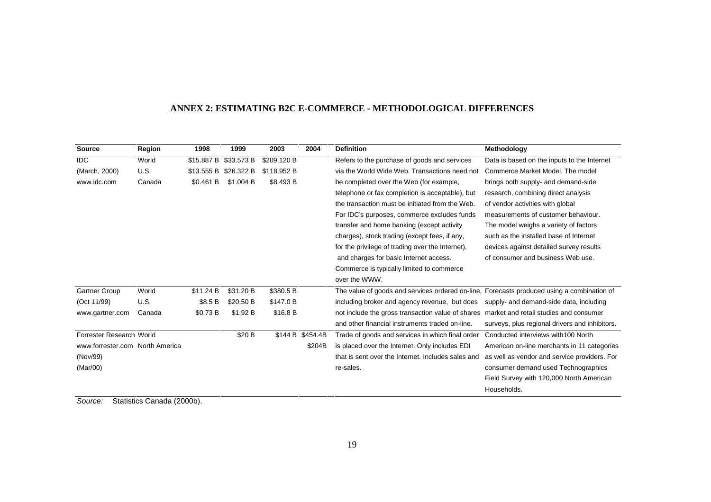| Source                          | Region | 1998       | 1999       | 2003             | 2004   | <b>Definition</b>                                                                          | Methodology                                    |
|---------------------------------|--------|------------|------------|------------------|--------|--------------------------------------------------------------------------------------------|------------------------------------------------|
| <b>IDC</b>                      | World  | \$15.887 B | \$33.573 B | \$209.120 B      |        | Refers to the purchase of goods and services                                               | Data is based on the inputs to the Internet    |
| (March, 2000)                   | U.S.   | \$13.555 B | \$26.322 B | \$118,952 B      |        | via the World Wide Web. Transactions need not                                              | Commerce Market Model. The model               |
| www.idc.com                     | Canada | \$0.461 B  | \$1.004 B  | \$8.493 B        |        | be completed over the Web (for example,                                                    | brings both supply- and demand-side            |
|                                 |        |            |            |                  |        | telephone or fax completion is acceptable), but                                            | research, combining direct analysis            |
|                                 |        |            |            |                  |        | the transaction must be initiated from the Web.                                            | of vendor activities with global               |
|                                 |        |            |            |                  |        | For IDC's purposes, commerce excludes funds                                                | measurements of customer behaviour.            |
|                                 |        |            |            |                  |        | transfer and home banking (except activity                                                 | The model weighs a variety of factors          |
|                                 |        |            |            |                  |        | charges), stock trading (except fees, if any,                                              | such as the installed base of Internet         |
|                                 |        |            |            |                  |        | for the privilege of trading over the Internet),                                           | devices against detailed survey results        |
|                                 |        |            |            |                  |        | and charges for basic Internet access.                                                     | of consumer and business Web use.              |
|                                 |        |            |            |                  |        | Commerce is typically limited to commerce                                                  |                                                |
|                                 |        |            |            |                  |        | over the WWW.                                                                              |                                                |
| Gartner Group                   | World  | \$11.24 B  | \$31.20 B  | \$380.5 B        |        | The value of goods and services ordered on-line, Forecasts produced using a combination of |                                                |
| (Oct 11/99)                     | U.S.   | \$8.5 B    | \$20.50 B  | \$147.0 B        |        | including broker and agency revenue, but does                                              | supply- and demand-side data, including        |
| www.gartner.com                 | Canada | \$0.73 B   | \$1.92 B   | \$16.8 B         |        | not include the gross transaction value of shares market and retail studies and consumer   |                                                |
|                                 |        |            |            |                  |        | and other financial instruments traded on-line.                                            | surveys, plus regional drivers and inhibitors. |
| Forrester Research World        |        |            | \$20 B     | \$144 B \$454.4B |        | Trade of goods and services in which final order                                           | Conducted interviews with 100 North            |
| www.forrester.com North America |        |            |            |                  | \$204B | is placed over the Internet. Only includes EDI                                             | American on-line merchants in 11 categories    |
| (Nov/99)                        |        |            |            |                  |        | that is sent over the Internet. Includes sales and                                         | as well as vendor and service providers. For   |
| (Mar/00)                        |        |            |            |                  |        | re-sales.                                                                                  | consumer demand used Technographics            |
|                                 |        |            |            |                  |        |                                                                                            | Field Survey with 120,000 North American       |
|                                 |        |            |            |                  |        |                                                                                            | Households.                                    |

#### **ANNEX 2: ESTIMATING B2C E-COMMERCE - METHODOLOGICAL DIFFERENCES**

Source: Statistics Canada (2000b).